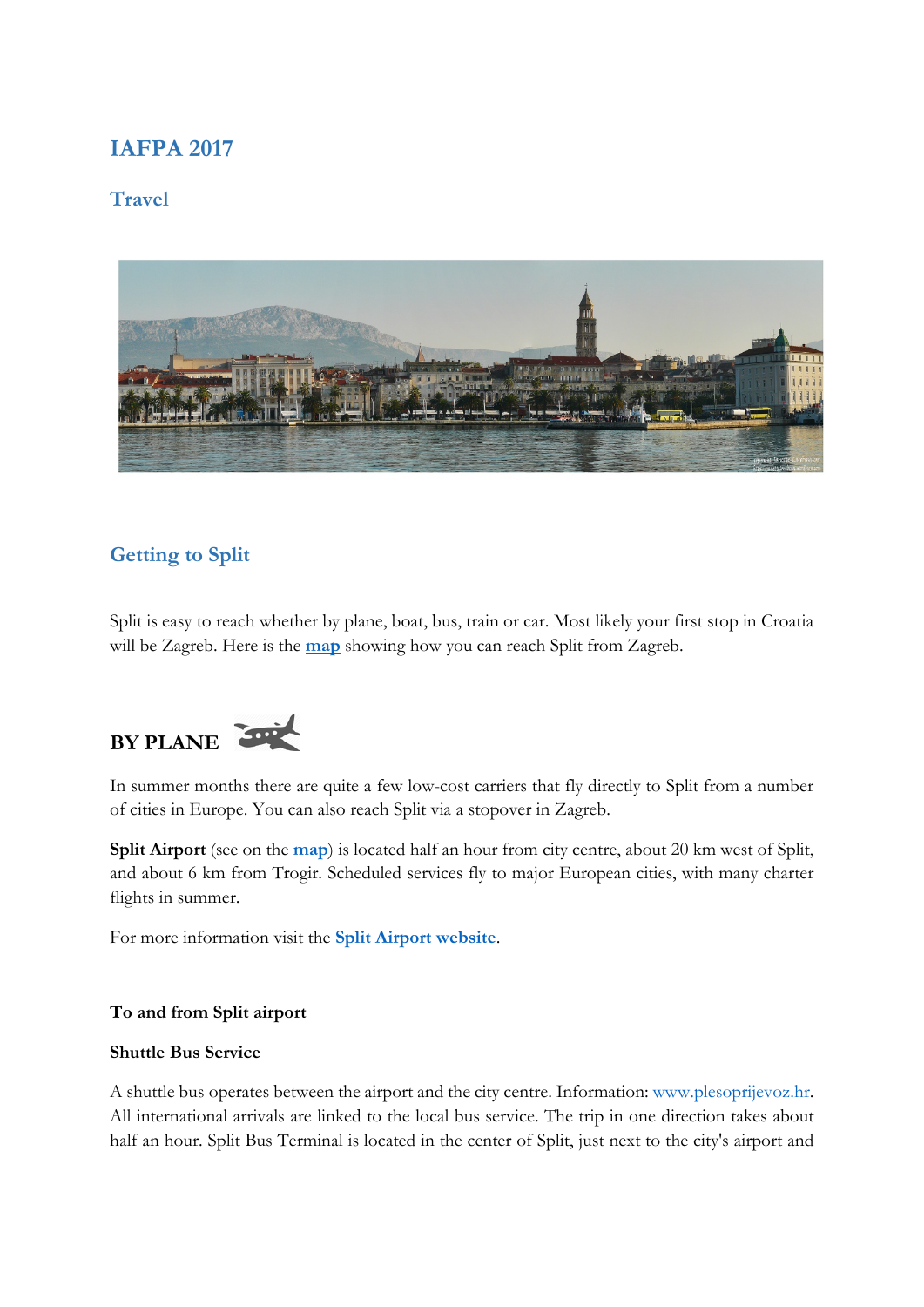### **IAFPA 2017**

#### **Travel**



#### **Getting to Split**

Split is easy to reach whether by plane, boat, bus, train or car. Most likely your first stop in Croatia will be Zagreb. Here is the **[map](https://www.ffst.unist.hr/_download/repository/hrvatska.JPG)** showing how you can reach Split from Zagreb.



In summer months there are quite a few low-cost carriers that fly directly to Split from a number of cities in Europe. You can also reach Split via a stopover in Zagreb.

**Split Airport** (see on the **[map](https://www.ffst.unist.hr/_download/repository/split.JPG)**) is located half an hour from city centre, about 20 km west of Split, and about 6 km from Trogir. Scheduled services fly to major European cities, with many charter flights in summer.

For more information visit the **[Split Airport website](http://www.split-airport.hr/?lang=en)**.

#### **To and from Split airport**

#### **Shuttle Bus Service**

A shuttle bus operates between the airport and the city centre. Information[: www.plesoprijevoz.hr.](http://www.plesoprijevoz.hr/) All international arrivals are linked to the local bus service. The trip in one direction takes about half an hour. Split Bus Terminal is located in the center of Split, just next to the city's airport and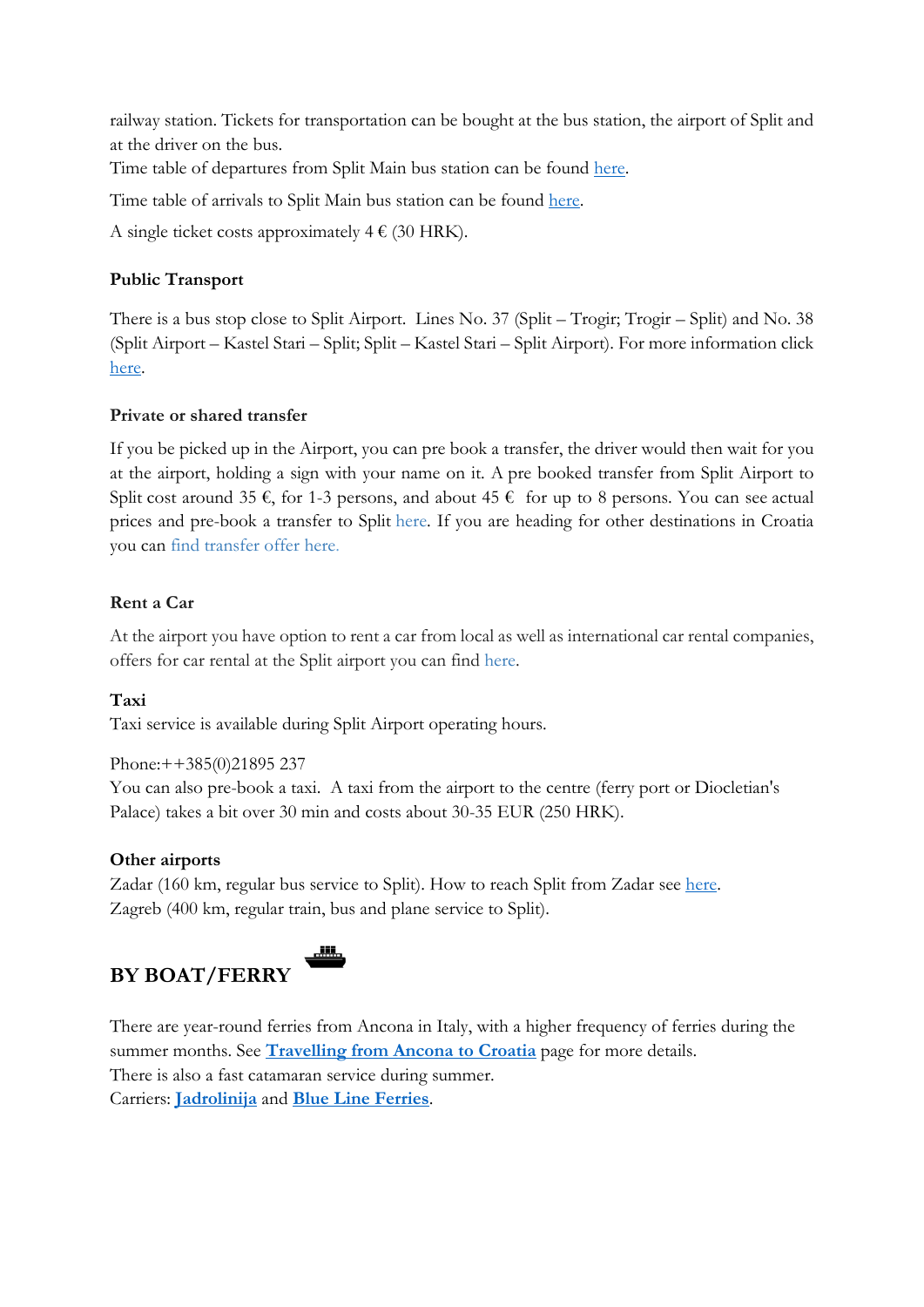railway station. Tickets for transportation can be bought at the bus station, the airport of Split and at the driver on the bus.

Time table of departures from Split Main bus station can be found [here.](http://www.ak-split.hr/en/vozni.red/VozniRedOdlazaka.aspx)

Time table of arrivals to Split Main bus station can be found [here.](http://www.ak-split.hr/en/vozni.red/VozniRedDolazaka.aspx)

A single ticket costs approximately  $4 \notin (30 \text{ HRK})$ .

#### **Public Transport**

There is a bus stop close to Split Airport. Lines No. 37 (Split – Trogir; Trogir – Split) and No. 38 (Split Airport – Kastel Stari – Split; Split – Kastel Stari – Split Airport). For more information click [here.](http://www.promet-split.hr/)

#### **Private or shared transfer**

If you be picked up in the Airport, you can pre book a transfer, the driver would then wait for you at the airport, holding a sign with your name on it. A pre booked transfer from Split Airport to Split cost around 35  $\epsilon$ , for 1-3 persons, and about 45  $\epsilon$  for up to 8 persons. You can see actual prices and pre-book a transfer to Split [here.](http://www.buscroatia.com/split-airport-split/) If you are heading for other destinations in Croatia you can [find transfer offer here.](http://www.buscroatia.com/transfers-croatia/)

#### **Rent a Car**

At the airport you have option to rent a car from local as well as international car rental companies, offers for car rental at the Split airport you can find [here.](http://www.buscroatia.com/Car-Split-en)

#### **Taxi**

Taxi service is available during Split Airport operating hours.

胍

#### Phone:++385(0)21895 237

You can also pre-book a taxi. A taxi from the airport to the centre (ferry port or Diocletian's Palace) takes a bit over 30 min and costs about 30-35 EUR (250 HRK).

#### **Other airports**

Zadar (160 km, regular bus service to Split). How to reach Split from Zadar see [here.](https://www.ffst.unist.hr/_download/repository/zadar.JPG) Zagreb (400 km, regular train, bus and plane service to Split).

## **BY BOAT/FERRY**

There are year-round ferries from Ancona in Italy, with a higher frequency of ferries during the summer months. See **[Travelling from Ancona to Croatia](http://www.visit-croatia.co.uk/index.php/getting-to-croatia/travelling-from-italy-to-croatia/travelling-from-ancona-to-croatia/)** page for more details. There is also a fast catamaran service during summer. Carriers: **[Jadrolinija](http://www.jadrolinija.hr/en/ferry-croatia)** and **[Blue Line Ferries](http://www.blueline-ferries.com/)**.